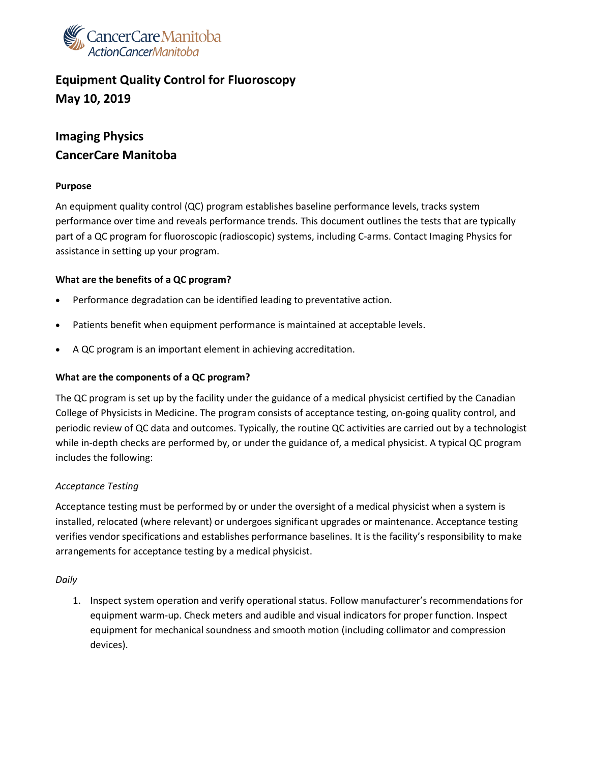

# **Equipment Quality Control for Fluoroscopy May 10, 2019**

## **Imaging Physics CancerCare Manitoba**

#### **Purpose**

An equipment quality control (QC) program establishes baseline performance levels, tracks system performance over time and reveals performance trends. This document outlines the tests that are typically part of a QC program for fluoroscopic (radioscopic) systems, including C-arms. Contact Imaging Physics for assistance in setting up your program.

#### **What are the benefits of a QC program?**

- Performance degradation can be identified leading to preventative action.
- Patients benefit when equipment performance is maintained at acceptable levels.
- A QC program is an important element in achieving accreditation.

#### **What are the components of a QC program?**

The QC program is set up by the facility under the guidance of a medical physicist certified by the Canadian College of Physicists in Medicine. The program consists of acceptance testing, on-going quality control, and periodic review of QC data and outcomes. Typically, the routine QC activities are carried out by a technologist while in-depth checks are performed by, or under the guidance of, a medical physicist. A typical QC program includes the following:

### *Acceptance Testing*

Acceptance testing must be performed by or under the oversight of a medical physicist when a system is installed, relocated (where relevant) or undergoes significant upgrades or maintenance. Acceptance testing verifies vendor specifications and establishes performance baselines. It is the facility's responsibility to make arrangements for acceptance testing by a medical physicist.

#### *Daily*

1. Inspect system operation and verify operational status. Follow manufacturer's recommendations for equipment warm-up. Check meters and audible and visual indicators for proper function. Inspect equipment for mechanical soundness and smooth motion (including collimator and compression devices).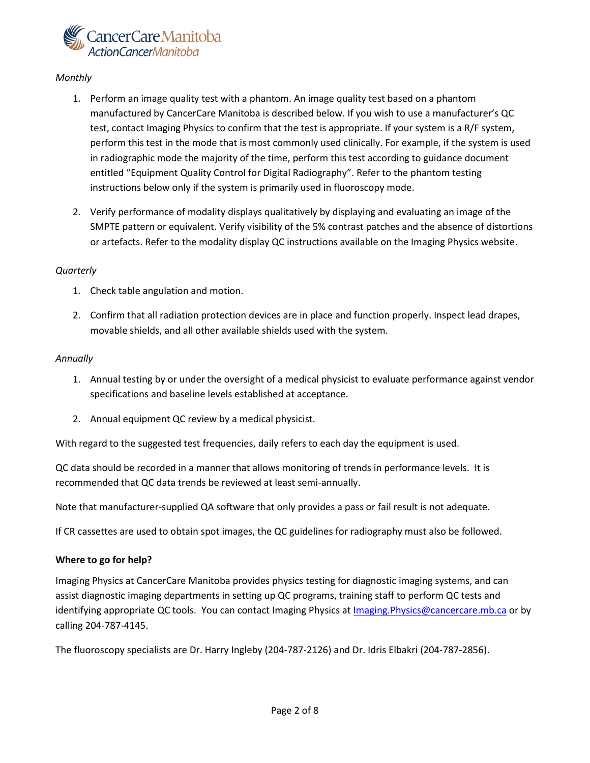

#### *Monthly*

- 1. Perform an image quality test with a phantom. An image quality test based on a phantom manufactured by CancerCare Manitoba is described below. If you wish to use a manufacturer's QC test, contact Imaging Physics to confirm that the test is appropriate. If your system is a R/F system, perform this test in the mode that is most commonly used clinically. For example, if the system is used in radiographic mode the majority of the time, perform this test according to guidance document entitled "Equipment Quality Control for Digital Radiography". Refer to the phantom testing instructions below only if the system is primarily used in fluoroscopy mode.
- 2. Verify performance of modality displays qualitatively by displaying and evaluating an image of the SMPTE pattern or equivalent. Verify visibility of the 5% contrast patches and the absence of distortions or artefacts. Refer to the modality display QC instructions available on the Imaging Physics website.

#### *Quarterly*

- 1. Check table angulation and motion.
- 2. Confirm that all radiation protection devices are in place and function properly. Inspect lead drapes, movable shields, and all other available shields used with the system.

#### *Annually*

- 1. Annual testing by or under the oversight of a medical physicist to evaluate performance against vendor specifications and baseline levels established at acceptance.
- 2. Annual equipment QC review by a medical physicist.

With regard to the suggested test frequencies, daily refers to each day the equipment is used.

QC data should be recorded in a manner that allows monitoring of trends in performance levels. It is recommended that QC data trends be reviewed at least semi-annually.

Note that manufacturer-supplied QA software that only provides a pass or fail result is not adequate.

If CR cassettes are used to obtain spot images, the QC guidelines for radiography must also be followed.

#### **Where to go for help?**

Imaging Physics at CancerCare Manitoba provides physics testing for diagnostic imaging systems, and can assist diagnostic imaging departments in setting up QC programs, training staff to perform QC tests and identifying appropriate QC tools. You can contact Imaging Physics at *Imaging.Physics@cancercare.mb.ca* or by calling 204-787-4145.

The fluoroscopy specialists are Dr. Harry Ingleby (204-787-2126) and Dr. Idris Elbakri (204-787-2856).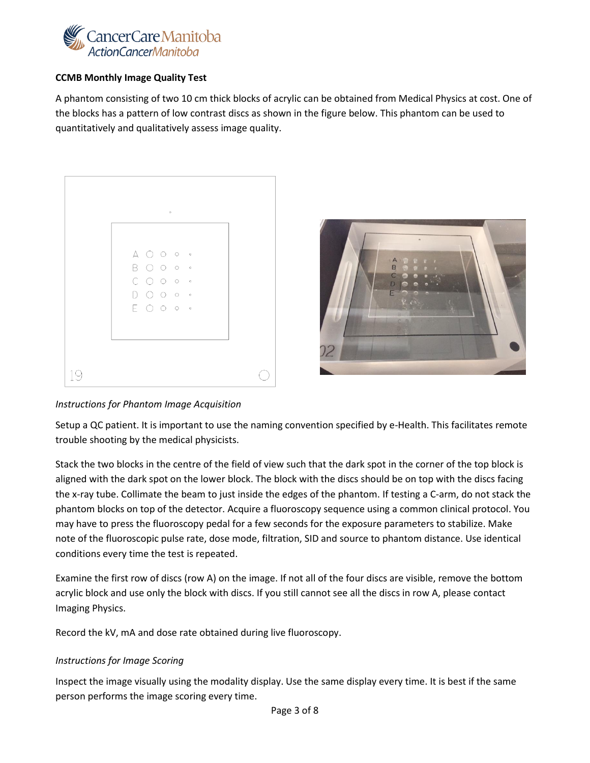

#### **CCMB Monthly Image Quality Test**

A phantom consisting of two 10 cm thick blocks of acrylic can be obtained from Medical Physics at cost. One of the blocks has a pattern of low contrast discs as shown in the figure below. This phantom can be used to quantitatively and qualitatively assess image quality.

|  |                                                                                                                          | $\circ$ |                          |  |
|--|--------------------------------------------------------------------------------------------------------------------------|---------|--------------------------|--|
|  | $\begin{array}{ccc} \Delta & \bigcirc & \circ & \circ & \circ \end{array}$                                               |         |                          |  |
|  | B O O o ·                                                                                                                |         |                          |  |
|  | $\begin{array}{ccc} \text{C} & \text{O} & \text{O} & \text{o} & \circ \end{array}$                                       |         |                          |  |
|  | $\begin{array}{ccc} \square & \square & \square & \square & \square & \square & \square & \square & \square \end{array}$ |         |                          |  |
|  | $E$ $O$ $O$ $\circ$                                                                                                      |         | $\hspace{1.5cm}$ $\circ$ |  |
|  |                                                                                                                          |         |                          |  |
|  |                                                                                                                          |         |                          |  |



### *Instructions for Phantom Image Acquisition*

Setup a QC patient. It is important to use the naming convention specified by e-Health. This facilitates remote trouble shooting by the medical physicists.

Stack the two blocks in the centre of the field of view such that the dark spot in the corner of the top block is aligned with the dark spot on the lower block. The block with the discs should be on top with the discs facing the x-ray tube. Collimate the beam to just inside the edges of the phantom. If testing a C-arm, do not stack the phantom blocks on top of the detector. Acquire a fluoroscopy sequence using a common clinical protocol. You may have to press the fluoroscopy pedal for a few seconds for the exposure parameters to stabilize. Make note of the fluoroscopic pulse rate, dose mode, filtration, SID and source to phantom distance. Use identical conditions every time the test is repeated.

Examine the first row of discs (row A) on the image. If not all of the four discs are visible, remove the bottom acrylic block and use only the block with discs. If you still cannot see all the discs in row A, please contact Imaging Physics.

Record the kV, mA and dose rate obtained during live fluoroscopy.

### *Instructions for Image Scoring*

Inspect the image visually using the modality display. Use the same display every time. It is best if the same person performs the image scoring every time.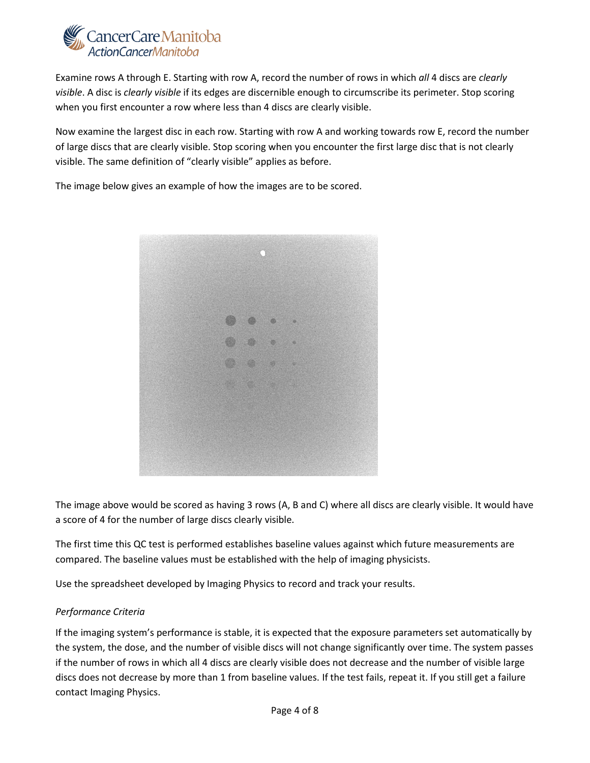

Examine rows A through E. Starting with row A, record the number of rows in which *all* 4 discs are *clearly visible*. A disc is *clearly visible* if its edges are discernible enough to circumscribe its perimeter. Stop scoring when you first encounter a row where less than 4 discs are clearly visible.

Now examine the largest disc in each row. Starting with row A and working towards row E, record the number of large discs that are clearly visible. Stop scoring when you encounter the first large disc that is not clearly visible. The same definition of "clearly visible" applies as before.

The image below gives an example of how the images are to be scored.



The image above would be scored as having 3 rows (A, B and C) where all discs are clearly visible. It would have a score of 4 for the number of large discs clearly visible.

The first time this QC test is performed establishes baseline values against which future measurements are compared. The baseline values must be established with the help of imaging physicists.

Use the spreadsheet developed by Imaging Physics to record and track your results.

#### *Performance Criteria*

If the imaging system's performance is stable, it is expected that the exposure parameters set automatically by the system, the dose, and the number of visible discs will not change significantly over time. The system passes if the number of rows in which all 4 discs are clearly visible does not decrease and the number of visible large discs does not decrease by more than 1 from baseline values. If the test fails, repeat it. If you still get a failure contact Imaging Physics.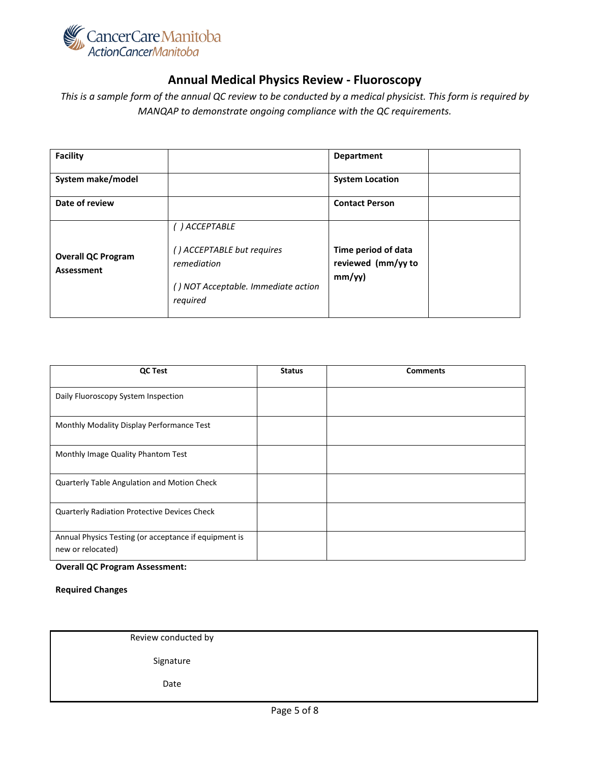

### **Annual Medical Physics Review - Fluoroscopy**

*This is a sample form of the annual QC review to be conducted by a medical physicist. This form is required by MANQAP to demonstrate ongoing compliance with the QC requirements.* 

| <b>Facility</b>                         |                                                                                                                | <b>Department</b>                                   |
|-----------------------------------------|----------------------------------------------------------------------------------------------------------------|-----------------------------------------------------|
| System make/model                       |                                                                                                                | <b>System Location</b>                              |
| Date of review                          |                                                                                                                | <b>Contact Person</b>                               |
| <b>Overall QC Program</b><br>Assessment | ( ) ACCEPTABLE<br>() ACCEPTABLE but requires<br>remediation<br>() NOT Acceptable. Immediate action<br>required | Time period of data<br>reviewed (mm/yy to<br>mm/yy) |

| <b>QC Test</b>                                                             | <b>Status</b> | <b>Comments</b> |
|----------------------------------------------------------------------------|---------------|-----------------|
| Daily Fluoroscopy System Inspection                                        |               |                 |
| Monthly Modality Display Performance Test                                  |               |                 |
| Monthly Image Quality Phantom Test                                         |               |                 |
| Quarterly Table Angulation and Motion Check                                |               |                 |
| Quarterly Radiation Protective Devices Check                               |               |                 |
| Annual Physics Testing (or acceptance if equipment is<br>new or relocated) |               |                 |

#### **Overall QC Program Assessment:**

**Required Changes**

Review conducted by

Signature

Date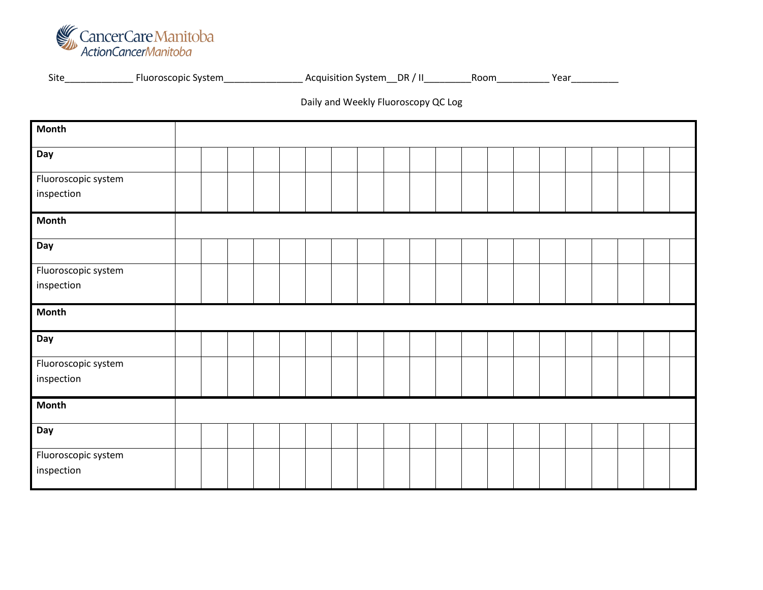

Site\_\_\_\_\_\_\_\_\_\_\_\_\_\_\_ Fluoroscopic System\_\_\_\_\_\_\_\_\_\_\_\_\_\_\_\_\_\_\_\_\_ Acquisition System\_\_DR / II\_\_\_\_\_\_\_\_\_\_\_Room\_\_\_\_\_\_\_\_\_\_\_\_Year\_\_\_\_\_\_\_\_\_

## Daily and Weekly Fluoroscopy QC Log

| <b>Month</b>        |  |  |  |  |  |  |  |  |  |  |
|---------------------|--|--|--|--|--|--|--|--|--|--|
|                     |  |  |  |  |  |  |  |  |  |  |
| Day                 |  |  |  |  |  |  |  |  |  |  |
| Fluoroscopic system |  |  |  |  |  |  |  |  |  |  |
| inspection          |  |  |  |  |  |  |  |  |  |  |
| <b>Month</b>        |  |  |  |  |  |  |  |  |  |  |
| Day                 |  |  |  |  |  |  |  |  |  |  |
| Fluoroscopic system |  |  |  |  |  |  |  |  |  |  |
| inspection          |  |  |  |  |  |  |  |  |  |  |
| <b>Month</b>        |  |  |  |  |  |  |  |  |  |  |
| Day                 |  |  |  |  |  |  |  |  |  |  |
| Fluoroscopic system |  |  |  |  |  |  |  |  |  |  |
| inspection          |  |  |  |  |  |  |  |  |  |  |
| <b>Month</b>        |  |  |  |  |  |  |  |  |  |  |
| Day                 |  |  |  |  |  |  |  |  |  |  |
| Fluoroscopic system |  |  |  |  |  |  |  |  |  |  |
| inspection          |  |  |  |  |  |  |  |  |  |  |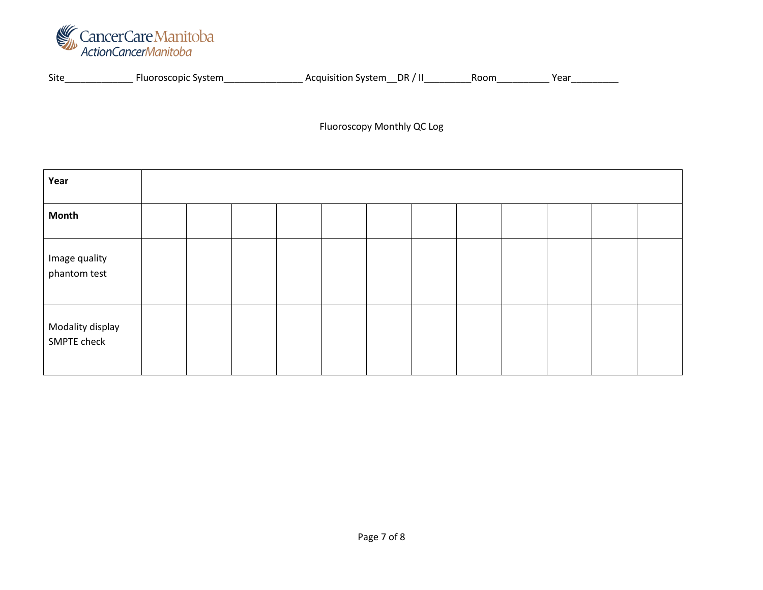

| Site | svstem<br>copic<br>ה אר | ,,ctam<br>Acquir<br>sition System. | DR | . | . ear |
|------|-------------------------|------------------------------------|----|---|-------|
|      |                         |                                    |    |   |       |
|      |                         |                                    |    |   |       |

Fluoroscopy Monthly QC Log

| Year                            |  |  |  |  |  |  |
|---------------------------------|--|--|--|--|--|--|
| <b>Month</b>                    |  |  |  |  |  |  |
| Image quality<br>phantom test   |  |  |  |  |  |  |
| Modality display<br>SMPTE check |  |  |  |  |  |  |